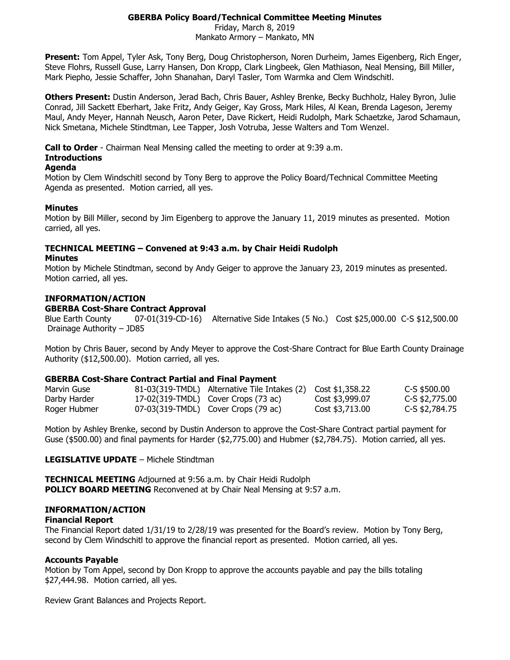## **GBERBA Policy Board/Technical Committee Meeting Minutes**

Friday, March 8, 2019 Mankato Armory – Mankato, MN

**Present:** Tom Appel, Tyler Ask, Tony Berg, Doug Christopherson, Noren Durheim, James Eigenberg, Rich Enger, Steve Flohrs, Russell Guse, Larry Hansen, Don Kropp, Clark Lingbeek, Glen Mathiason, Neal Mensing, Bill Miller, Mark Piepho, Jessie Schaffer, John Shanahan, Daryl Tasler, Tom Warmka and Clem Windschitl.

**Others Present:** Dustin Anderson, Jerad Bach, Chris Bauer, Ashley Brenke, Becky Buchholz, Haley Byron, Julie Conrad, Jill Sackett Eberhart, Jake Fritz, Andy Geiger, Kay Gross, Mark Hiles, Al Kean, Brenda Lageson, Jeremy Maul, Andy Meyer, Hannah Neusch, Aaron Peter, Dave Rickert, Heidi Rudolph, Mark Schaetzke, Jarod Schamaun, Nick Smetana, Michele Stindtman, Lee Tapper, Josh Votruba, Jesse Walters and Tom Wenzel.

**Call to Order** - Chairman Neal Mensing called the meeting to order at 9:39 a.m.

## **Introductions**

### **Agenda**

Motion by Clem Windschitl second by Tony Berg to approve the Policy Board/Technical Committee Meeting Agenda as presented. Motion carried, all yes.

## **Minutes**

Motion by Bill Miller, second by Jim Eigenberg to approve the January 11, 2019 minutes as presented. Motion carried, all yes.

# **TECHNICAL MEETING – Convened at 9:43 a.m. by Chair Heidi Rudolph**

### **Minutes**

Motion by Michele Stindtman, second by Andy Geiger to approve the January 23, 2019 minutes as presented. Motion carried, all yes.

## **INFORMATION/ACTION**

### **GBERBA Cost-Share Contract Approval**

Blue Earth County 07-01(319-CD-16) Alternative Side Intakes (5 No.) Cost \$25,000.00 C-S \$12,500.00 Drainage Authority – JD85

Motion by Chris Bauer, second by Andy Meyer to approve the Cost-Share Contract for Blue Earth County Drainage Authority (\$12,500.00). Motion carried, all yes.

### **GBERBA Cost-Share Contract Partial and Final Payment**

| Marvin Guse  | $81-03(319$ -TMDL) Alternative Tile Intakes (2) Cost \$1,358.22 |                 | C-S \$500,00   |
|--------------|-----------------------------------------------------------------|-----------------|----------------|
| Darby Harder | 17-02(319-TMDL) Cover Crops (73 ac)                             | Cost \$3,999.07 | C-S \$2,775.00 |
| Roger Hubmer | $07-03(319-TMDL)$ Cover Crops (79 ac)                           | Cost \$3,713.00 | C-S \$2,784.75 |

Motion by Ashley Brenke, second by Dustin Anderson to approve the Cost-Share Contract partial payment for Guse (\$500.00) and final payments for Harder (\$2,775.00) and Hubmer (\$2,784.75). Motion carried, all yes.

### **LEGISLATIVE UPDATE** – Michele Stindtman

**TECHNICAL MEETING** Adjourned at 9:56 a.m. by Chair Heidi Rudolph **POLICY BOARD MEETING** Reconvened at by Chair Neal Mensing at 9:57 a.m.

### **INFORMATION/ACTION**

### **Financial Report**

The Financial Report dated 1/31/19 to 2/28/19 was presented for the Board's review. Motion by Tony Berg, second by Clem Windschitl to approve the financial report as presented. Motion carried, all yes.

### **Accounts Payable**

Motion by Tom Appel, second by Don Kropp to approve the accounts payable and pay the bills totaling \$27,444.98. Motion carried, all yes.

Review Grant Balances and Projects Report.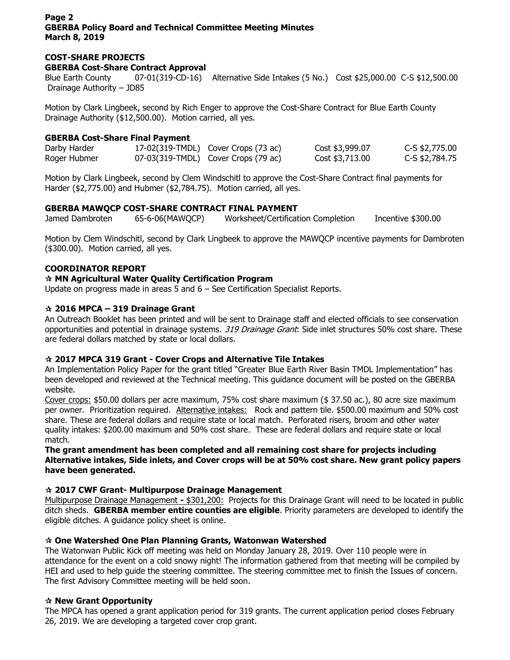## **Page 2 GBERBA Policy Board and Technical Committee Meeting Minutes March 8, 2019**

## **COST-SHARE PROJECTS**

**GBERBA Cost-Share Contract Approval**

Blue Earth County 07-01(319-CD-16) Alternative Side Intakes (5 No.) Cost \$25,000.00 C-S \$12,500.00 Drainage Authority – JD85

Motion by Clark Lingbeek, second by Rich Enger to approve the Cost-Share Contract for Blue Earth County Drainage Authority (\$12,500.00). Motion carried, all yes.

## **GBERBA Cost-Share Final Payment**

| Darby Harder | 17-02(319-TMDL) Cover Crops (73 ac) | Cost \$3,999.07 | C-S \$2,775.00 |
|--------------|-------------------------------------|-----------------|----------------|
| Roger Hubmer | 07-03(319-TMDL) Cover Crops (79 ac) | Cost \$3,713.00 | C-S \$2,784.75 |

Motion by Clark Lingbeek, second by Clem Windschitl to approve the Cost-Share Contract final payments for Harder (\$2,775.00) and Hubmer (\$2,784.75). Motion carried, all yes.

## **GBERBA MAWQCP COST-SHARE CONTRACT FINAL PAYMENT**

Jamed Dambroten 65-6-06(MAWQCP) Worksheet/Certification Completion Incentive \$300.00

Motion by Clem Windschitl, second by Clark Lingbeek to approve the MAWQCP incentive payments for Dambroten (\$300.00). Motion carried, all yes.

## **COORDINATOR REPORT**

## **MN Agricultural Water Quality Certification Program**

Update on progress made in areas 5 and 6 – See Certification Specialist Reports.

## **2016 MPCA – 319 Drainage Grant**

An Outreach Booklet has been printed and will be sent to Drainage staff and elected officials to see conservation opportunities and potential in drainage systems. 319 Drainage Grant: Side inlet structures 50% cost share. These are federal dollars matched by state or local dollars.

## **2017 MPCA 319 Grant - Cover Crops and Alternative Tile Intakes**

An Implementation Policy Paper for the grant titled "Greater Blue Earth River Basin TMDL Implementation" has been developed and reviewed at the Technical meeting. This guidance document will be posted on the GBERBA website.

Cover crops: \$50.00 dollars per acre maximum, 75% cost share maximum (\$ 37.50 ac.), 80 acre size maximum per owner. Prioritization required. Alternative intakes: Rock and pattern tile. \$500.00 maximum and 50% cost share. These are federal dollars and require state or local match. Perforated risers, broom and other water quality intakes: \$200.00 maximum and 50% cost share. These are federal dollars and require state or local match.

### **The grant amendment has been completed and all remaining cost share for projects including Alternative intakes, Side inlets, and Cover crops will be at 50% cost share. New grant policy papers have been generated.**

### **2017 CWF Grant- Multipurpose Drainage Management**

Multipurpose Drainage Management **-** \$301,200: Projects for this Drainage Grant will need to be located in public ditch sheds. **GBERBA member entire counties are eligible**. Priority parameters are developed to identify the eligible ditches. A guidance policy sheet is online.

## **One Watershed One Plan Planning Grants, Watonwan Watershed**

The Watonwan Public Kick off meeting was held on Monday January 28, 2019. Over 110 people were in attendance for the event on a cold snowy night! The information gathered from that meeting will be compiled by HEI and used to help guide the steering committee. The steering committee met to finish the Issues of concern. The first Advisory Committee meeting will be held soon.

### **New Grant Opportunity**

The MPCA has opened a grant application period for 319 grants. The current application period closes February 26, 2019. We are developing a targeted cover crop grant.